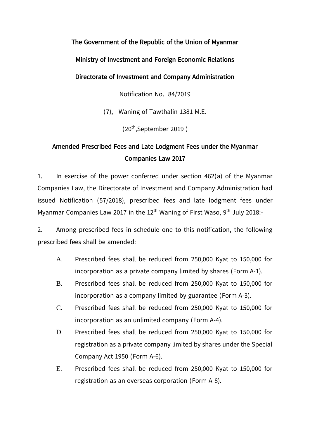**The Government of the Republic of the Union of Myanmar**

**Ministry of Investment and Foreign Economic Relations** 

**Directorate of Investment and Company Administration**

Notification No. 84/2019

(7), Waning of Tawthalin 1381 M.E.

(20th ,September 2019 )

## **Amended Prescribed Fees and Late Lodgment Fees under the Myanmar Companies Law 2017**

1. In exercise of the power conferred under section 462(a) of the Myanmar Companies Law, the Directorate of Investment and Company Administration had issued Notification (57/2018), prescribed fees and late lodgment fees under Myanmar Companies Law 2017 in the  $12<sup>th</sup>$  Waning of First Waso, 9<sup>th</sup> July 2018:-

2. Among prescribed fees in schedule one to this notification, the following prescribed fees shall be amended:

- A. Prescribed fees shall be reduced from 250,000 Kyat to 150,000 for incorporation as a private company limited by shares (Form A-1).
- B. Prescribed fees shall be reduced from 250,000 Kyat to 150,000 for incorporation as a company limited by guarantee (Form A-3).
- C. Prescribed fees shall be reduced from 250,000 Kyat to 150,000 for incorporation as an unlimited company (Form A-4).
- D. Prescribed fees shall be reduced from 250,000 Kyat to 150,000 for registration as a private company limited by shares under the Special Company Act 1950 (Form A-6).
- E. Prescribed fees shall be reduced from 250,000 Kyat to 150,000 for registration as an overseas corporation (Form A-8).